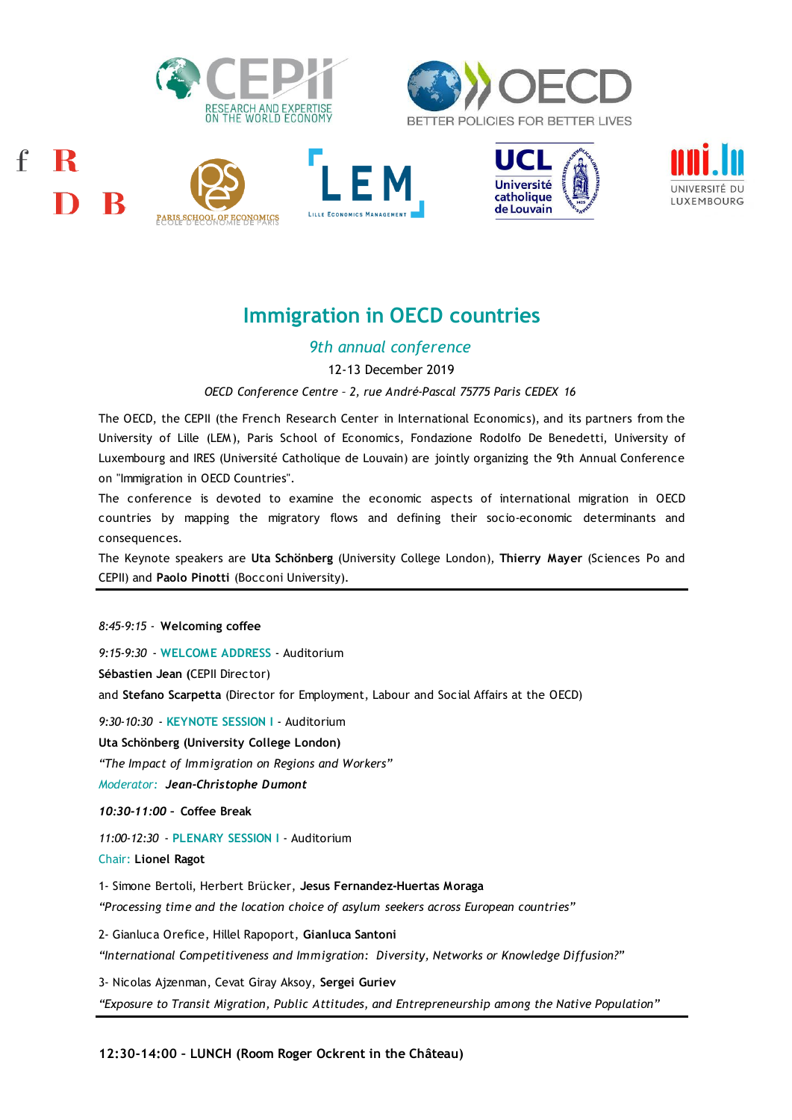

 $\mathbf{f}$ 

R

В









# **Immigration in OECD countries**

*9th annual conference*

12-13 December 2019

*OECD Conference Centre – 2, rue André-Pascal 75775 Paris CEDEX 16*

The OECD, the CEPII (the French Research Center in International Economics), and its partners from the University of Lille (LEM), Paris School of Economics, Fondazione Rodolfo De Benedetti, University of The OECD, the CEPII (the French Research Center in International Economics), and its partners from the<br>University of Lille (LEM), Paris School of Economics, Fondazione Rodolfo De Benedetti, University of<br>Luxembourg and IRE on "Immigration in OECD Countries". Euxembourg and IRES (Université Catholique de Louvain) are jointly organizing the 9th Annual Conference<br>on "Immigration in OECD Countries".<br>The conference is devoted to examine the economic aspects of international migrati

The conference is devoted to examine the economic aspects of international migration in OECD countries by mapping the migratory flows and defining their socio-economic determinants and consequences.

The Keynote speakers are **Uta Schönberg** (University College London), **Thierry Mayer** (Sciences P o and CEPII) and **Paolo Pinotti** (Bocconi University).

*8:45-9:15 -* **Welcoming coffee** *9:15-9:30* - **WELCOME ADDRESS** - Auditorium **Sébastien Jean (**CEPII Director) and **Stefano Scarpetta** (Director for Employment, Labour and Social Affairs at the OECD) *9:30-10:30* - **KEYNOTE SESSION I** - Auditorium **Uta Schönberg (University College London)** *"The Impact of Immigration on Regions and Workers" Moderator: Jean-Christophe Dumont 10:30-11:00 –* **Coffee Break** *11:00-12:30* - **PLENARY SESSION I** - Auditorium Chair: **Lionel Ragot** 1- Simone Bertoli, Herbert Brücker, **Jesus Fernandez-Huertas Moraga** *"Processing time and the location choice of asylum seekers across European countries"* 2- Gianluca Orefice, Hillel Rapoport, **Gianluca Santoni** *"International Competitiveness and Immigration: Diversity, Networks or Knowledge Diffusion?"* 3- Nicolas Ajzenman, Cevat Giray Aksoy, **Sergei Guriev** *"Exposure to Transit Migration, Public Attitudes, and Entrepreneurship among the Native Population"*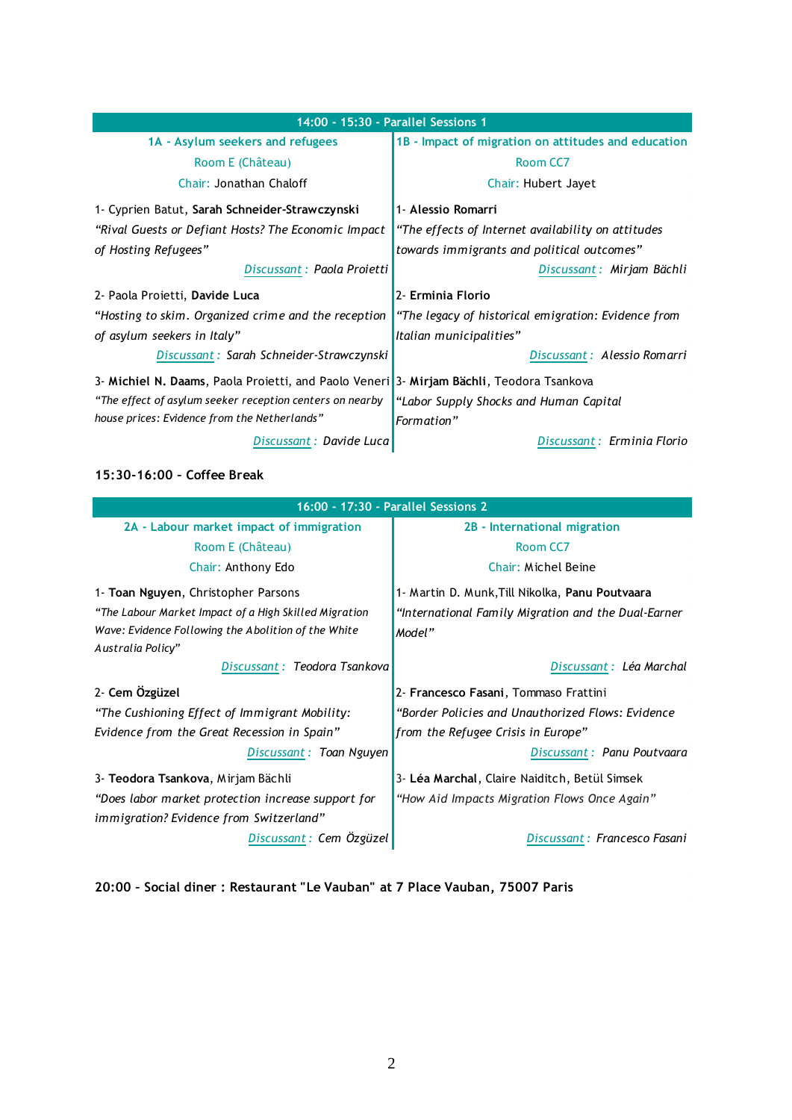| 14:00 - 15:30 - Parallel Sessions 1                                                      |                                                     |
|------------------------------------------------------------------------------------------|-----------------------------------------------------|
| 1A - Asylum seekers and refugees                                                         | 1B - Impact of migration on attitudes and education |
| Room E (Château)                                                                         | Room CC7                                            |
| Chair: Jonathan Chaloff                                                                  | Chair: Hubert Jayet                                 |
| 1- Cyprien Batut, Sarah Schneider-Strawczynski                                           | 1- Alessio Romarri                                  |
| "Rival Guests or Defiant Hosts? The Economic Impact                                      | "The effects of Internet availability on attitudes  |
| of Hosting Refugees"                                                                     | towards immigrants and political outcomes"          |
| Discussant: Paola Projetti                                                               | Discussant: Mirjam Bächli                           |
| 2- Paola Proietti, Davide Luca                                                           | 2- Erminia Florio                                   |
| "Hosting to skim. Organized crime and the reception                                      | "The legacy of historical emigration: Evidence from |
| of asylum seekers in Italy"                                                              | Italian municipalities"                             |
| Discussant: Sarah Schneider-Strawczynski                                                 | Discussant: Alessio Romarri                         |
| 3- Michiel N. Daams, Paola Proietti, and Paolo Veneri 3- Mirjam Bächli, Teodora Tsankova |                                                     |
| "The effect of asylum seeker reception centers on nearby                                 | "Labor Supply Shocks and Human Capital              |
| house prices: Evidence from the Netherlands"                                             | Formation"                                          |
| Discussant: Davide Luca                                                                  | Discussant: Erminia Florio                          |

## **15:30-16:00 – Coffee Break**

| 16:00 - 17:30 - Parallel Sessions 2                   |                                                     |
|-------------------------------------------------------|-----------------------------------------------------|
| 2A - Labour market impact of immigration              | 2B - International migration                        |
| Room E (Château)                                      | Room CC7                                            |
| Chair: Anthony Edo                                    | Chair: Michel Beine                                 |
| 1- Toan Nguyen, Christopher Parsons                   | 1- Martin D. Munk, Till Nikolka, Panu Poutvaara     |
| "The Labour Market Impact of a High Skilled Migration | "International Family Migration and the Dual-Earner |
| Wave: Evidence Following the Abolition of the White   | Model"                                              |
| Australia Policy"                                     |                                                     |
| Discussant: Teodora Tsankova                          | Discussant : Léa Marchal                            |
| 2- Cem Özgüzel                                        | 2- Francesco Fasani, Tommaso Frattini               |
| "The Cushioning Effect of Immigrant Mobility:         | "Border Policies and Unauthorized Flows: Evidence   |
| Evidence from the Great Recession in Spain"           | from the Refugee Crisis in Europe"                  |
| Discussant: Toan Nguyen                               | Discussant: Panu Poutvaara                          |
| 3 - Teodora Tsankova, Mirjam Bächli                   | 3- Léa Marchal, Claire Naiditch, Betül Simsek       |
| "Does labor market protection increase support for    | "How Aid Impacts Migration Flows Once Again"        |
| immigration? Evidence from Switzerland"               |                                                     |
| Discussant: Cem Özgüzel                               | Discussant: Francesco Fasani                        |

**20:00 – Social diner : Restaurant "Le Vauban" at 7 Place Vauban, 75007 Paris**